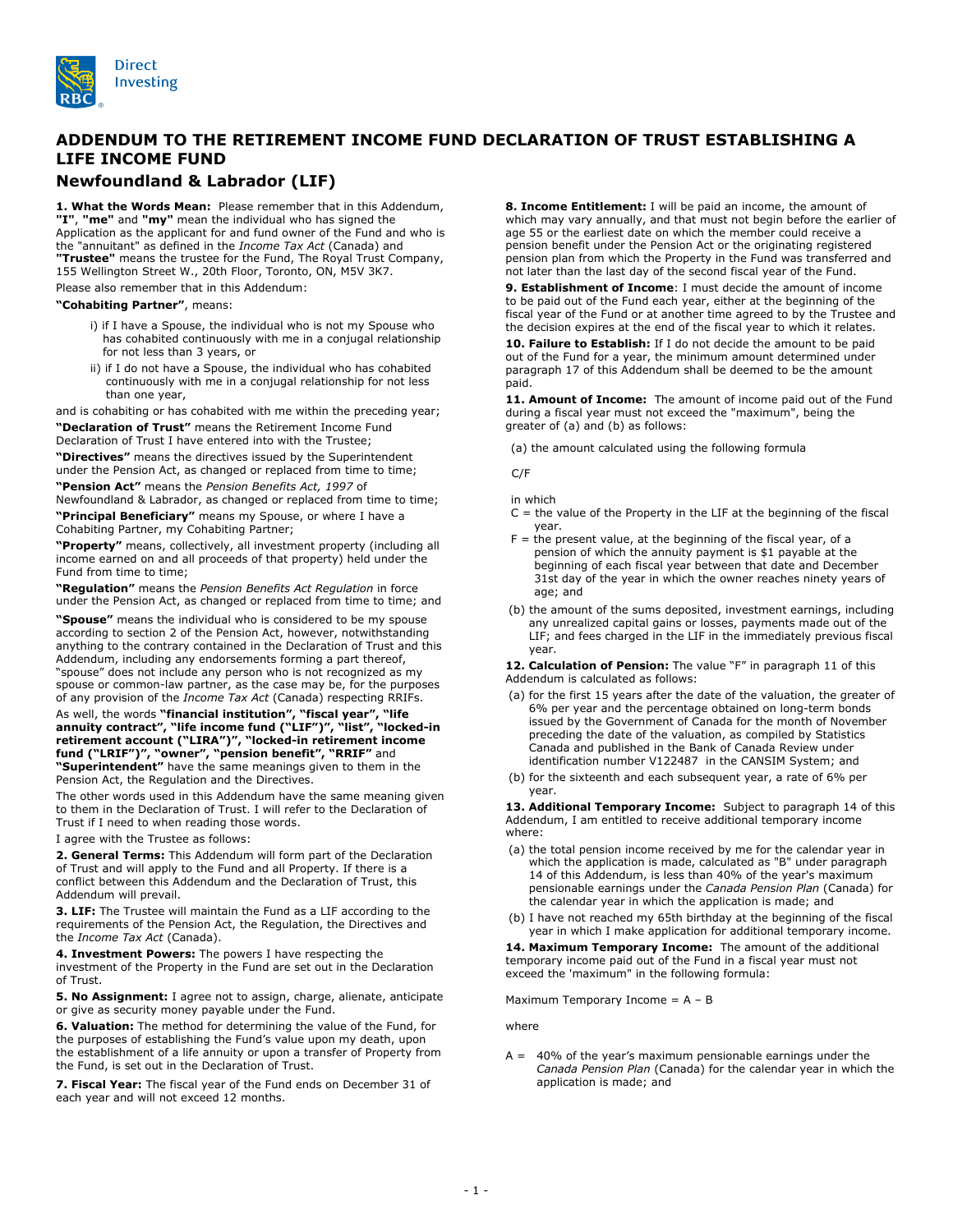

## **ADDENDUM TO THE RETIREMENT INCOME FUND DECLARATION OF TRUST ESTABLISHING A LIFE INCOME FUND**

## **Newfoundland & Labrador (LIF)**

**1. What the Words Mean:** Please remember that in this Addendum, **"I"**, **"me"** and **"my"** mean the individual who has signed the Application as the applicant for and fund owner of the Fund and who is the "annuitant" as defined in the *Income Tax Act* (Canada) and **"Trustee"** means the trustee for the Fund, The Royal Trust Company, 155 Wellington Street W., 20th Floor, Toronto, ON, M5V 3K7.

Please also remember that in this Addendum:

**"Cohabiting Partner"**, means:

- i) if I have a Spouse, the individual who is not my Spouse who has cohabited continuously with me in a conjugal relationship for not less than 3 years, or
- ii) if I do not have a Spouse, the individual who has cohabited continuously with me in a conjugal relationship for not less than one year,

and is cohabiting or has cohabited with me within the preceding year; **"Declaration of Trust"** means the Retirement Income Fund Declaration of Trust I have entered into with the Trustee;

**"Directives"** means the directives issued by the Superintendent

under the Pension Act, as changed or replaced from time to time; **"Pension Act"** means the *Pension Benefits Act, 1997* of

Newfoundland & Labrador, as changed or replaced from time to time; **"Principal Beneficiary"** means my Spouse, or where I have a

Cohabiting Partner, my Cohabiting Partner; **"Property"** means, collectively, all investment property (including all income earned on and all proceeds of that property) held under the Fund from time to time;

**"Regulation"** means the *Pension Benefits Act Regulation* in force under the Pension Act, as changed or replaced from time to time; and

**"Spouse"** means the individual who is considered to be my spouse according to section 2 of the Pension Act, however, notwithstanding anything to the contrary contained in the Declaration of Trust and this Addendum, including any endorsements forming a part thereof, "spouse" does not include any person who is not recognized as my spouse or common-law partner, as the case may be, for the purposes of any provision of the *Income Tax Act* (Canada) respecting RRIFs.

## As well, the words **"financial institution", "fiscal year", "life annuity contract", "life income fund ("LIF")", "list", "locked-in retirement account ("LIRA")", "locked-in retirement income fund ("LRIF")", "owner", "pension benefit", "RRIF"** and **"Superintendent"** have the same meanings given to them in the

Pension Act, the Regulation and the Directives. The other words used in this Addendum have the same meaning given

to them in the Declaration of Trust. I will refer to the Declaration of Trust if I need to when reading those words.

I agree with the Trustee as follows:

**2. General Terms:** This Addendum will form part of the Declaration of Trust and will apply to the Fund and all Property. If there is a conflict between this Addendum and the Declaration of Trust, this Addendum will prevail.

**3. LIF:** The Trustee will maintain the Fund as a LIF according to the requirements of the Pension Act, the Regulation, the Directives and the *Income Tax Act* (Canada).

**4. Investment Powers:** The powers I have respecting the investment of the Property in the Fund are set out in the Declaration of Trust.

**5. No Assignment:** I agree not to assign, charge, alienate, anticipate or give as security money payable under the Fund.

**6. Valuation:** The method for determining the value of the Fund, for the purposes of establishing the Fund's value upon my death, upon the establishment of a life annuity or upon a transfer of Property from the Fund, is set out in the Declaration of Trust.

**7. Fiscal Year:** The fiscal year of the Fund ends on December 31 of each year and will not exceed 12 months.

**8. Income Entitlement:** I will be paid an income, the amount of which may vary annually, and that must not begin before the earlier of age 55 or the earliest date on which the member could receive a pension benefit under the Pension Act or the originating registered pension plan from which the Property in the Fund was transferred and not later than the last day of the second fiscal year of the Fund.

**9. Establishment of Income**: I must decide the amount of income to be paid out of the Fund each year, either at the beginning of the fiscal year of the Fund or at another time agreed to by the Trustee and the decision expires at the end of the fiscal year to which it relates.

**10. Failure to Establish:** If I do not decide the amount to be paid out of the Fund for a year, the minimum amount determined under paragraph 17 of this Addendum shall be deemed to be the amount paid.

**11. Amount of Income:** The amount of income paid out of the Fund during a fiscal year must not exceed the "maximum", being the greater of (a) and (b) as follows:

(a) the amount calculated using the following formula

C/F

in which

- $C =$  the value of the Property in the LIF at the beginning of the fiscal year.
- F = the present value, at the beginning of the fiscal year, of a pension of which the annuity payment is \$1 payable at the beginning of each fiscal year between that date and December 31st day of the year in which the owner reaches ninety years of age; and
- (b) the amount of the sums deposited, investment earnings, including any unrealized capital gains or losses, payments made out of the LIF; and fees charged in the LIF in the immediately previous fiscal year.

**12. Calculation of Pension:** The value "F" in paragraph 11 of this Addendum is calculated as follows:

- (a) for the first 15 years after the date of the valuation, the greater of 6% per year and the percentage obtained on long-term bonds issued by the Government of Canada for the month of November preceding the date of the valuation, as compiled by Statistics Canada and published in the Bank of Canada Review under identification number V122487 in the CANSIM System; and
- (b) for the sixteenth and each subsequent year, a rate of 6% per year.

**13. Additional Temporary Income:** Subject to paragraph 14 of this Addendum, I am entitled to receive additional temporary income where:

- (a) the total pension income received by me for the calendar year in which the application is made, calculated as "B" under paragraph 14 of this Addendum, is less than 40% of the year's maximum pensionable earnings under the *Canada Pension Plan* (Canada) for the calendar year in which the application is made; and
- (b) I have not reached my 65th birthday at the beginning of the fiscal year in which I make application for additional temporary income.

**14. Maximum Temporary Income:** The amount of the additional temporary income paid out of the Fund in a fiscal year must not exceed the 'maximum" in the following formula:

Maximum Temporary Income  $= A - B$ 

where

 $A = 40\%$  of the year's maximum pensionable earnings under the *Canada Pension Plan* (Canada) for the calendar year in which the application is made; and